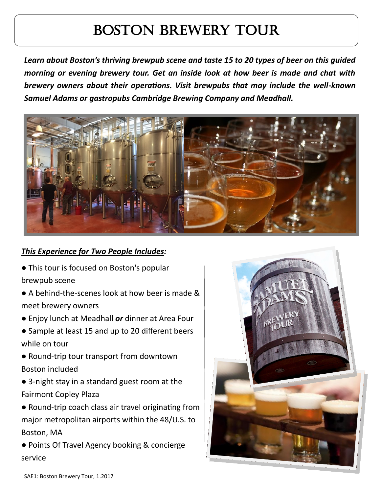## Boston Brewery Tour

*Learn about Boston's thriving brewpub scene and taste 15 to 20 types of beer on this guided morning or evening brewery tour. Get an inside look at how beer is made and chat with brewery owners about their operations. Visit brewpubs that may include the well-known Samuel Adams or gastropubs Cambridge Brewing Company and Meadhall.*



## *This Experience for Two People Includes:*

- This tour is focused on Boston's popular brewpub scene
- A behind-the-scenes look at how beer is made & meet brewery owners
- Enjoy lunch at Meadhall *or* dinner at Area Four
- Sample at least 15 and up to 20 different beers while on tour
- Round-trip tour transport from downtown Boston included
- 3-night stay in a standard guest room at the Fairmont Copley Plaza
- Round-trip coach class air travel originating from major metropolitan airports within the 48/U.S. to Boston, MA
- Points Of Travel Agency booking & concierge service